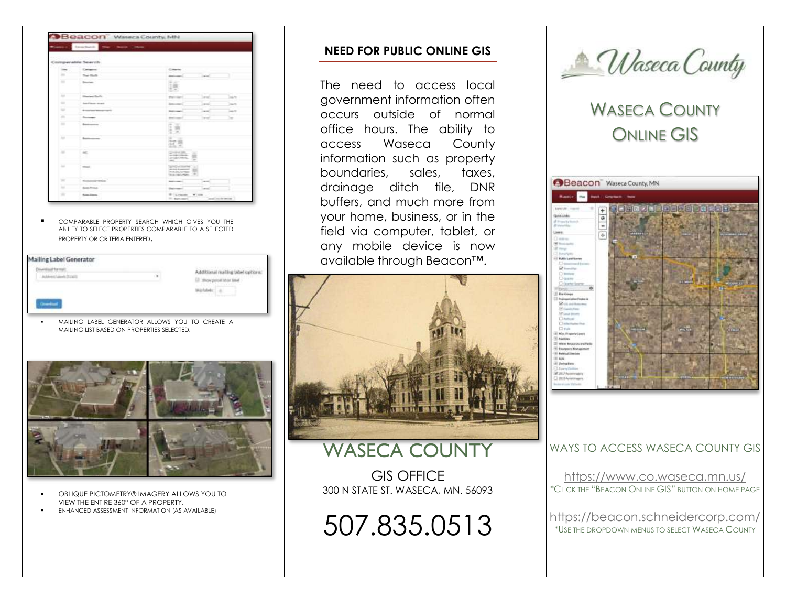|               | Construction<br><b>Search College</b>                                                          |                                                                                                                         |                         |  |
|---------------|------------------------------------------------------------------------------------------------|-------------------------------------------------------------------------------------------------------------------------|-------------------------|--|
|               | Comparable Search                                                                              |                                                                                                                         |                         |  |
| $\cdots$<br>- | Catalogue                                                                                      | Coleman<br>---                                                                                                          |                         |  |
|               | <b>The Hole</b>                                                                                | and come of<br><b>Canada</b><br>a sa a                                                                                  |                         |  |
| $\sim$        | <b>Securities</b>                                                                              | SCA-<br>18<br>三木                                                                                                        |                         |  |
| $\sim$        | <b>Distances StarFe</b>                                                                        | <b>Danmark</b><br><b>TIME</b>                                                                                           | paints.                 |  |
|               | <b>GATTING WINA</b>                                                                            | <b>School College</b><br>2000                                                                                           | --<br><b>CONTRACTOR</b> |  |
| ٠<br>$\sim$   | <b><i><u>American Mongole</u>nia</i></b>                                                       | - 1<br><b>Marketing</b><br><b>Later</b>                                                                                 | 14.00                   |  |
| $\mathbb{R}$  | <b>Scottender</b>                                                                              | ÷<br>$\sim$<br>dealership of<br><b>Canada</b>                                                                           |                         |  |
| ٠             | dealerships and                                                                                | $\frac{1}{2} \left( \frac{1}{2} \right) \left( \frac{1}{2} \right) \left( \frac{1}{2} \right)$<br>生道<br>53              |                         |  |
|               | Seattle-process of                                                                             | --<br>$\mathcal{L}$<br>27.8<br>$2.78 - 36$                                                                              |                         |  |
| $\sim$        | $\omega$                                                                                       | Control Mills Cont<br>and the first product of the<br>۰<br>24 SHOWA<br>$\equiv$<br>$-$                                  |                         |  |
| $\sim$        | $\frac{1}{2} \left( \frac{1}{2} \right) \left( \frac{1}{2} \right) \left( \frac{1}{2} \right)$ | <b>College State</b><br>-<br><b>Michael Mountainer</b><br>亩<br>AADLCRD.<br>$\overline{\phantom{a}}$<br><b>SALESVIEW</b> |                         |  |
| $\equiv$      | <b>Summer Street</b>                                                                           | <b>Reference</b><br><b>Security</b>                                                                                     |                         |  |
| $\cdots$      | <b>Google Allegade</b>                                                                         | Date and<br><b>Service</b>                                                                                              |                         |  |

 COMPARABLE PROPERTY SEARCH WHICH GIVES YOU THE ABILITY TO SELECT PROPERTIES COMPARABLE TO A SELECTED PROPERTY OR CRITERIA ENTERED.

| Mailing Label Generator                                   |   |                                                        |
|-----------------------------------------------------------|---|--------------------------------------------------------|
| The structure of the co-<br>diame<br>Address Meets 212010 | ٠ | Additional malling tab<br>Service 2.1.1.2. Three Henry |
|                                                           |   |                                                        |

 MAILING LABEL GENERATOR ALLOWS YOU TO CREATE A MAILING LIST BASED ON PROPERTIES SELECTED.

## **NEED FOR PUBLIC ONLINE GIS**

The need to access local government information often occurs outside of normal office hours. The ability to access Waseca County information such as property boundaries, sales, taxes, drainage ditch tile, DNR buffers, and much more from your home, business, or in the field via computer, tablet, or any mobile device is now available through Beacon™.



WASECA COUNTY GIS OFFICE 300 N STATE ST. WASECA, MN. 56093

507.835.0513



# WASECA COUNTY ONLINE GIS



#### WAYS TO ACCESS WASECA COUNTY GIS

<https://www.co.waseca.mn.us/> \*CLICK THE "BEACON ONLINE GIS" BUTTON ON HOME PAGE

<https://beacon.schneidercorp.com/> \*USE THE DROPDOWN MENUS TO SELECT WASECA COUNTY



- OBLIQUE PICTOMETRY® IMAGERY ALLOWS YOU TO VIEW THE ENTIRE 360° OF A PROPERTY.
- ENHANCED ASSESSMENT INFORMATION (AS AVAILABLE)